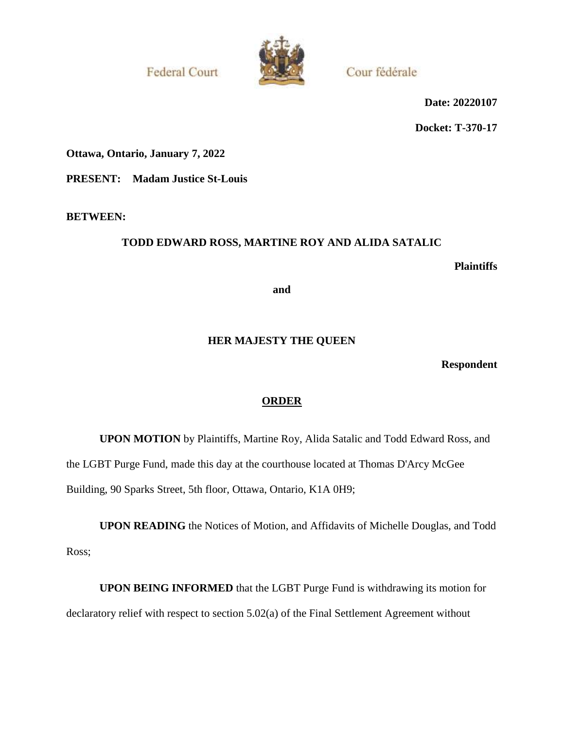**Federal Court** 



Cour fédérale

**Date: 20220107**

**Docket: T-370-17**

**Ottawa, Ontario, January 7, 2022**

**PRESENT: Madam Justice St-Louis**

**BETWEEN:**

# **TODD EDWARD ROSS, MARTINE ROY AND ALIDA SATALIC**

**Plaintiffs**

**and**

# **HER MAJESTY THE QUEEN**

**Respondent**

# **ORDER**

**UPON MOTION** by Plaintiffs, Martine Roy, Alida Satalic and Todd Edward Ross, and the LGBT Purge Fund, made this day at the courthouse located at Thomas D'Arcy McGee Building, 90 Sparks Street, 5th floor, Ottawa, Ontario, K1A 0H9;

**UPON READING** the Notices of Motion, and Affidavits of Michelle Douglas, and Todd Ross;

**UPON BEING INFORMED** that the LGBT Purge Fund is withdrawing its motion for declaratory relief with respect to section 5.02(a) of the Final Settlement Agreement without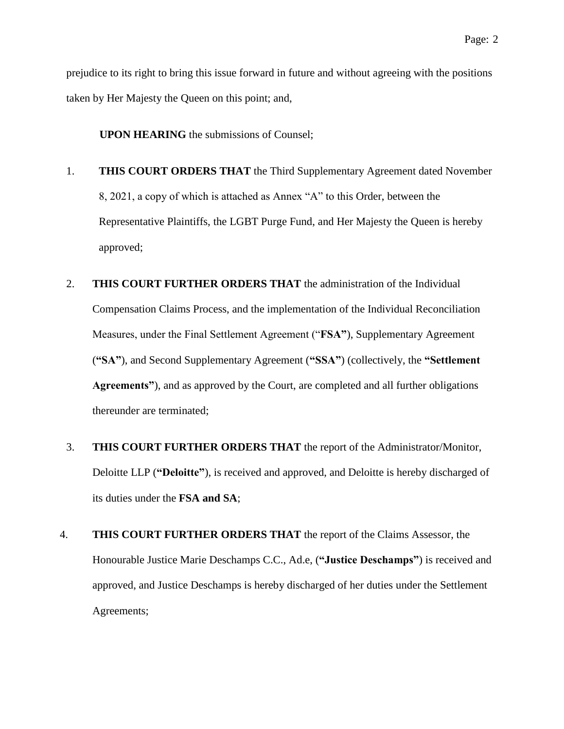prejudice to its right to bring this issue forward in future and without agreeing with the positions taken by Her Majesty the Queen on this point; and,

**UPON HEARING** the submissions of Counsel;

- 1. **THIS COURT ORDERS THAT** the Third Supplementary Agreement dated November 8, 2021, a copy of which is attached as Annex "A" to this Order, between the Representative Plaintiffs, the LGBT Purge Fund, and Her Majesty the Queen is hereby approved;
- 2. **THIS COURT FURTHER ORDERS THAT** the administration of the Individual Compensation Claims Process, and the implementation of the Individual Reconciliation Measures, under the Final Settlement Agreement ("**FSA"**), Supplementary Agreement (**"SA"**), and Second Supplementary Agreement (**"SSA"**) (collectively, the **"Settlement Agreements"**), and as approved by the Court, are completed and all further obligations thereunder are terminated;
- 3. **THIS COURT FURTHER ORDERS THAT** the report of the Administrator/Monitor, Deloitte LLP (**"Deloitte"**), is received and approved, and Deloitte is hereby discharged of its duties under the **FSA and SA**;
- 4. **THIS COURT FURTHER ORDERS THAT** the report of the Claims Assessor, the Honourable Justice Marie Deschamps C.C., Ad.e, (**"Justice Deschamps"**) is received and approved, and Justice Deschamps is hereby discharged of her duties under the Settlement Agreements;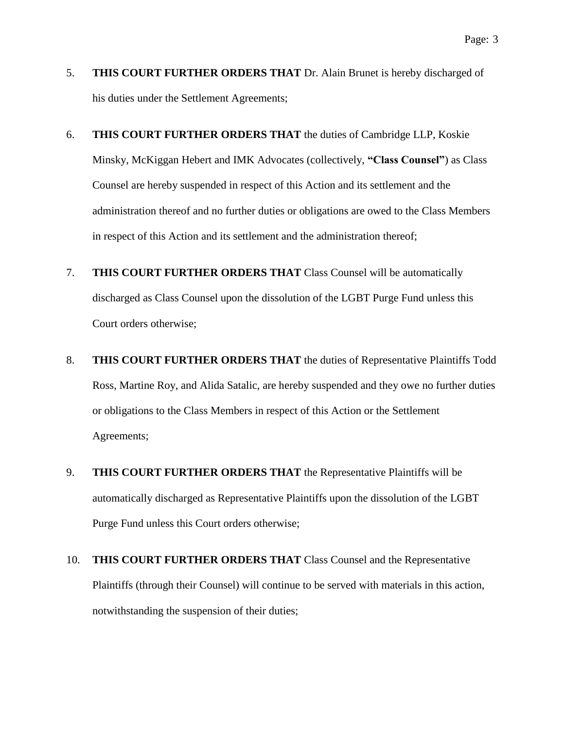- 5. **THIS COURT FURTHER ORDERS THAT** Dr. Alain Brunet is hereby discharged of his duties under the Settlement Agreements;
- 6. **THIS COURT FURTHER ORDERS THAT** the duties of Cambridge LLP, Koskie Minsky, McKiggan Hebert and IMK Advocates (collectively, **"Class Counsel"**) as Class Counsel are hereby suspended in respect of this Action and its settlement and the administration thereof and no further duties or obligations are owed to the Class Members in respect of this Action and its settlement and the administration thereof;
- 7. **THIS COURT FURTHER ORDERS THAT** Class Counsel will be automatically discharged as Class Counsel upon the dissolution of the LGBT Purge Fund unless this Court orders otherwise;
- 8. **THIS COURT FURTHER ORDERS THAT** the duties of Representative Plaintiffs Todd Ross, Martine Roy, and Alida Satalic, are hereby suspended and they owe no further duties or obligations to the Class Members in respect of this Action or the Settlement Agreements;
- 9. **THIS COURT FURTHER ORDERS THAT** the Representative Plaintiffs will be automatically discharged as Representative Plaintiffs upon the dissolution of the LGBT Purge Fund unless this Court orders otherwise;
- 10. **THIS COURT FURTHER ORDERS THAT** Class Counsel and the Representative Plaintiffs (through their Counsel) will continue to be served with materials in this action, notwithstanding the suspension of their duties;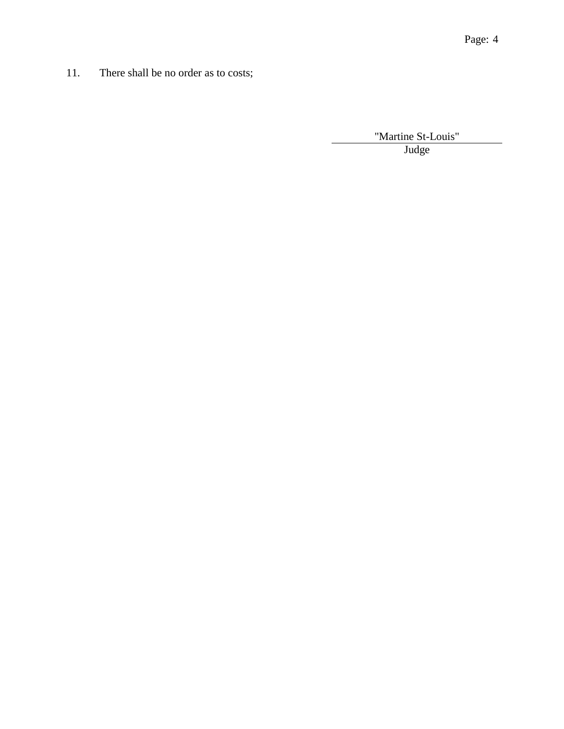11. There shall be no order as to costs;

"Martine St-Louis" blank Judge and the state of the state of the state of the state of the state of the state of the state of the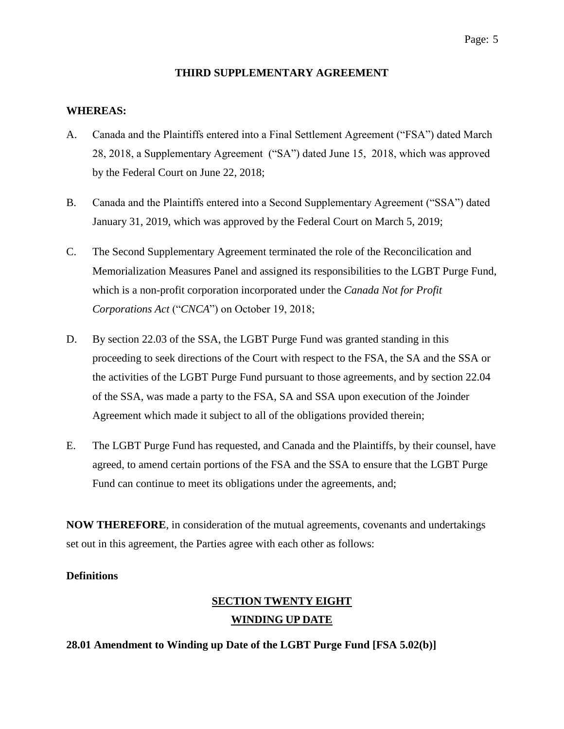### **THIRD SUPPLEMENTARY AGREEMENT**

### **WHEREAS:**

- A. Canada and the Plaintiffs entered into a Final Settlement Agreement ("FSA") dated March 28, 2018, a Supplementary Agreement ("SA") dated June 15, 2018, which was approved by the Federal Court on June 22, 2018;
- B. Canada and the Plaintiffs entered into a Second Supplementary Agreement ("SSA") dated January 31, 2019, which was approved by the Federal Court on March 5, 2019;
- C. The Second Supplementary Agreement terminated the role of the Reconcilication and Memorialization Measures Panel and assigned its responsibilities to the LGBT Purge Fund, which is a non-profit corporation incorporated under the *Canada Not for Profit Corporations Act* ("*CNCA*") on October 19, 2018;
- D. By section 22.03 of the SSA, the LGBT Purge Fund was granted standing in this proceeding to seek directions of the Court with respect to the FSA, the SA and the SSA or the activities of the LGBT Purge Fund pursuant to those agreements, and by section 22.04 of the SSA, was made a party to the FSA, SA and SSA upon execution of the Joinder Agreement which made it subject to all of the obligations provided therein;
- E. The LGBT Purge Fund has requested, and Canada and the Plaintiffs, by their counsel, have agreed, to amend certain portions of the FSA and the SSA to ensure that the LGBT Purge Fund can continue to meet its obligations under the agreements, and;

**NOW THEREFORE**, in consideration of the mutual agreements, covenants and undertakings set out in this agreement, the Parties agree with each other as follows:

### **Definitions**

# **SECTION TWENTY EIGHT WINDING UP DATE**

### **28.01 Amendment to Winding up Date of the LGBT Purge Fund [FSA 5.02(b)]**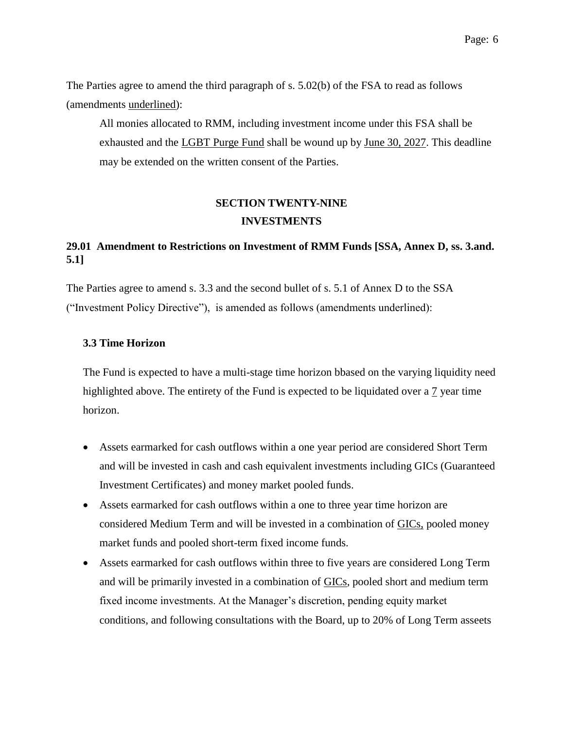The Parties agree to amend the third paragraph of s. 5.02(b) of the FSA to read as follows (amendments underlined):

All monies allocated to RMM, including investment income under this FSA shall be exhausted and the LGBT Purge Fund shall be wound up by June 30, 2027. This deadline may be extended on the written consent of the Parties.

# **SECTION TWENTY-NINE INVESTMENTS**

## **29.01 Amendment to Restrictions on Investment of RMM Funds [SSA, Annex D, ss. 3.and. 5.1]**

The Parties agree to amend s. 3.3 and the second bullet of s. 5.1 of Annex D to the SSA ("Investment Policy Directive"), is amended as follows (amendments underlined):

### **3.3 Time Horizon**

The Fund is expected to have a multi-stage time horizon bbased on the varying liquidity need highlighted above. The entirety of the Fund is expected to be liquidated over a 7 year time horizon.

- Assets earmarked for cash outflows within a one year period are considered Short Term and will be invested in cash and cash equivalent investments including GICs (Guaranteed Investment Certificates) and money market pooled funds.
- Assets earmarked for cash outflows within a one to three year time horizon are considered Medium Term and will be invested in a combination of GICs, pooled money market funds and pooled short-term fixed income funds.
- Assets earmarked for cash outflows within three to five years are considered Long Term and will be primarily invested in a combination of GICs, pooled short and medium term fixed income investments. At the Manager's discretion, pending equity market conditions, and following consultations with the Board, up to 20% of Long Term asseets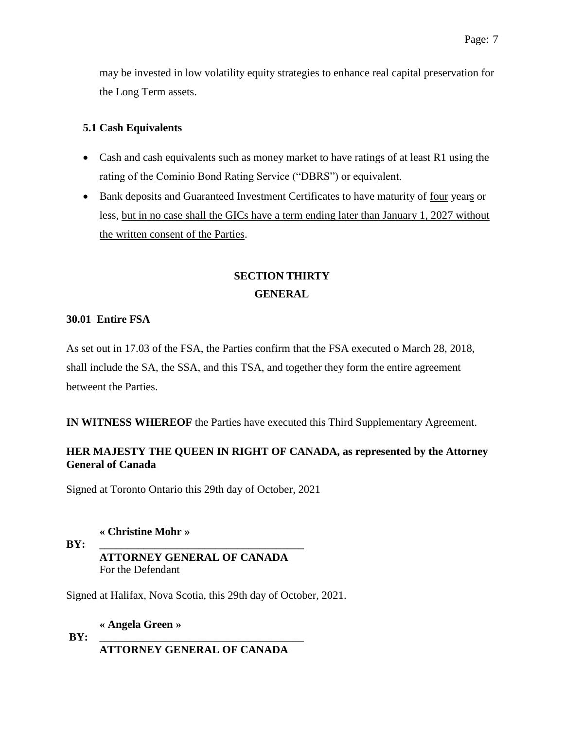may be invested in low volatility equity strategies to enhance real capital preservation for the Long Term assets.

## **5.1 Cash Equivalents**

- Cash and cash equivalents such as money market to have ratings of at least R1 using the rating of the Cominio Bond Rating Service ("DBRS") or equivalent.
- Bank deposits and Guaranteed Investment Certificates to have maturity of four years or less, but in no case shall the GICs have a term ending later than January 1, 2027 without the written consent of the Parties.

# **SECTION THIRTY GENERAL**

## **30.01 Entire FSA**

As set out in 17.03 of the FSA, the Parties confirm that the FSA executed o March 28, 2018, shall include the SA, the SSA, and this TSA, and together they form the entire agreement betweent the Parties.

**IN WITNESS WHEREOF** the Parties have executed this Third Supplementary Agreement.

# **HER MAJESTY THE QUEEN IN RIGHT OF CANADA, as represented by the Attorney General of Canada**

Signed at Toronto Ontario this 29th day of October, 2021

**« Christine Mohr »**

### **BY: \_\_\_\_\_\_\_\_\_\_\_\_\_\_\_\_\_\_\_\_\_\_\_\_\_\_\_\_\_\_\_\_\_\_\_\_\_ ATTORNEY GENERAL OF CANADA** For the Defendant

Signed at Halifax, Nova Scotia, this 29th day of October, 2021.

**« Angela Green »**

**BY:** \_\_\_\_\_\_\_\_\_\_\_\_\_\_\_\_\_\_\_\_\_\_\_\_\_\_\_\_\_\_\_\_\_\_\_\_\_

**ATTORNEY GENERAL OF CANADA**